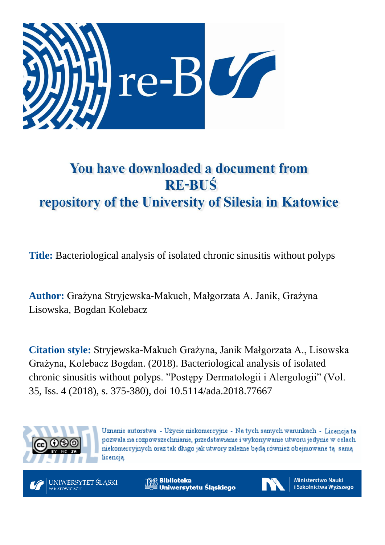

# You have downloaded a document from **RE-BUŚ** repository of the University of Silesia in Katowice

**Title:** Bacteriological analysis of isolated chronic sinusitis without polyps

**Author:** Grażyna Stryjewska-Makuch, Małgorzata A. Janik, Grażyna Lisowska, Bogdan Kolebacz

**Citation style:** Stryjewska-Makuch Grażyna, Janik Małgorzata A., Lisowska Grażyna, Kolebacz Bogdan. (2018). Bacteriological analysis of isolated chronic sinusitis without polyps. "Postępy Dermatologii i Alergologii" (Vol. 35, Iss. 4 (2018), s. 375-380), doi 10.5114/ada.2018.77667



Uznanie autorstwa - Użycie niekomercyjne - Na tych samych warunkach - Licencja ta pozwala na rozpowszechnianie, przedstawianie i wykonywanie utworu jedynie w celach niekomercyjnych oraz tak długo jak utwory zależne będą również obejmowane tą samą licencia.



**Biblioteka** Uniwersytetu Śląskiego



**Ministerstwo Nauki** i Szkolnictwa Wyższego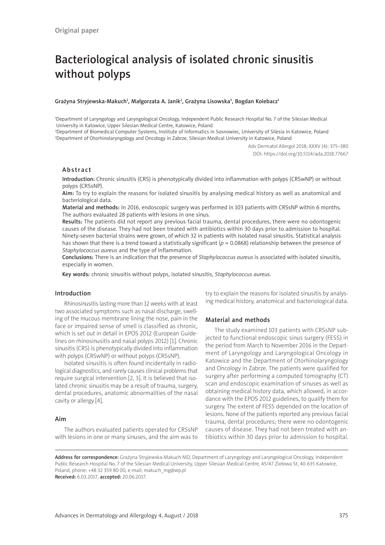# Bacteriological analysis of isolated chronic sinusitis without polyps

#### Grażyna Stryjewska-Makuch<sup>1</sup>, Małgorzata A. Janik<sup>2</sup>, Grażyna Lisowska<sup>3</sup>, Bogdan Kolebacz<sup>1</sup>

1 Department of Laryngology and Laryngological Oncology, Independent Public Research Hospital No. 7 of the Silesian Medical University in Katowice, Upper Silesian Medical Centre, Katowice, Poland

2 Department of Biomedical Computer Systems, Institute of Informatics in Sosnowiec, University of Silesia in Katowice, Poland 3 Department of Otorhinolaryngology and Oncology in Zabrze, Silesian Medical University in Katowice, Poland

> Adv Dermatol Allergol 2018; XXXV (4): 375–380 DOI: https://doi.org/10.5114/ada.2018.77667

# Abstract

Introduction: Chronic sinusitis (CRS) is phenotypically divided into inflammation with polyps (CRSwNP) or without polyps (CRSsNP).

Aim: To try to explain the reasons for isolated sinusitis by analysing medical history as well as anatomical and bacteriological data.

Material and methods: In 2016, endoscopic surgery was performed in 103 patients with CRSsNP within 6 months. The authors evaluated 28 patients with lesions in one sinus.

Results: The patients did not report any previous facial trauma, dental procedures, there were no odontogenic causes of the disease. They had not been treated with antibiotics within 30 days prior to admission to hospital. Ninety-seven bacterial strains were grown, of which 32 in patients with isolated nasal sinusitis. Statistical analysis has shown that there is a trend toward a statistically significant ( $p = 0.0868$ ) relationship between the presence of *Staphylococcus aureus* and the type of inflammation.

Conclusions: There is an indication that the presence of *Staphylococcus aureus* is associated with isolated sinusitis, especially in women.

Key words: chronic sinusitis without polyps, isolated sinusitis, *Staphylococcus aureus*.

# Introduction

Rhinosinusitis lasting more than 12 weeks with at least two associated symptoms such as nasal discharge, swelling of the mucous membrane lining the nose, pain in the face or impaired sense of smell is classified as chronic, which is set out in detail in EPOS 2012 (European Guidelines on rhinosinusitis and nasal polyps 2012) [1]. Chronic sinusitis (CRS) is phenotypically divided into inflammation with polyps (CRSwNP) or without polyps (CRSsNP).

Isolated sinusitis is often found incidentally in radiological diagnostics, and rarely causes clinical problems that require surgical intervention [2, 3]. It is believed that isolated chronic sinusitis may be a result of trauma, surgery, dental procedures, anatomic abnormalities of the nasal cavity or allergy [4].

#### Aim

The authors evaluated patients operated for CRSsNP with lesions in one or many sinuses, and the aim was to try to explain the reasons for isolated sinusitis by analysing medical history, anatomical and bacteriological data.

## Material and methods

The study examined 103 patients with CRSsNP subjected to functional endoscopic sinus surgery (FESS) in the period from March to November 2016 in the Department of Laryngology and Laryngological Oncology in Katowice and the Department of Otorhinolaryngology and Oncology in Zabrze. The patients were qualified for surgery after performing a computed tomography (CT) scan and endoscopic examination of sinuses as well as obtaining medical history data, which allowed, in accordance with the EPOS 2012 guidelines, to qualify them for surgery. The extent of FESS depended on the location of lesions. None of the patients reported any previous facial trauma, dental procedures; there were no odontogenic causes of disease. They had not been treated with antibiotics within 30 days prior to admission to hospital.

Address for correspondence: Grażyna Stryjewska-Makuch MD, Department of Laryngology and Laryngological Oncology, Independent Public Research Hospital No. 7 of the Silesian Medical University, Upper Silesian Medical Centre, 45/47 Ziołowa St, 40-635 Katowice, Poland, phone: +48 32 359 80 00, e-mail: makuch\_mg@wp.pl Received: 6.03.2017, accepted: 20.06.2017.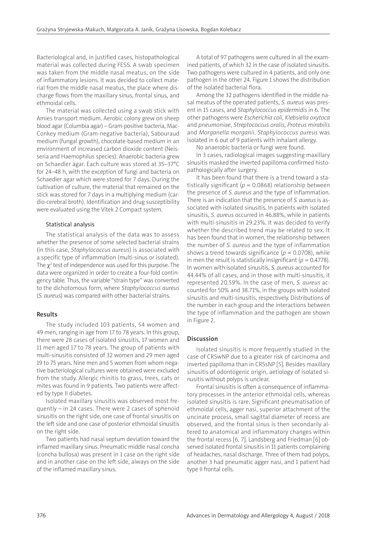Bacteriological and, in justified cases, histopathological material was collected during FESS. A swab specimen was taken from the middle nasal meatus, on the side of inflammatory lesions. It was decided to collect material from the middle nasal meatus, the place where discharge flows from the maxillary sinus, frontal sinus, and ethmoidal cells.

The material was collected using a swab stick with Amies transport medium. Aerobic colony grew on sheep blood agar (Columbia agar) – Gram-positive bacteria, Mac-Conkey medium (Gram-negative bacteria), Sabouraud medium (fungal growth), chocolate-based medium in an environment of increased carbon dioxide content (Neisseria and Haemophilus species). Anaerobic bacteria grew on Schaedler agar. Each culture was stored at 35–37°C for 24–48 h, with the exception of fungi and bacteria on Schaedler agar which were stored for 7 days. During the cultivation of culture, the material that remained on the stick was stored for 7 days in a multiplying medium (cardio-cerebral broth). Identification and drug susceptibility were evaluated using the Vitek 2 Compact system.

#### Statistical analysis

The statistical analysis of the data was to assess whether the presence of some selected bacterial strains (in this case, *Staphylococcus aureus*) is associated with a specific type of inflammation (multi-sinus or isolated). The  $\chi^2$  test of independence was used for this purpose. The data were organized in order to create a four-fold contingency table. Thus, the variable "strain type" was converted to the dichotomous form, where *Staphylococcus aureus*  (*S. aureus*) was compared with other bacterial strains.

## Results

The study included 103 patients, 54 women and 49 men, ranging in age from 17 to 78 years. In this group, there were 28 cases of isolated sinusitis, 17 women and 11 men aged 17 to 78 years. The group of patients with multi-sinusitis consisted of 32 women and 29 men aged 19 to 75 years. Nine men and 5 women from whom negative bacteriological cultures were obtained were excluded from the study. Allergic rhinitis to grass, trees, cats or mites was found in 9 patients. Two patients were affected by type II diabetes.

Isolated maxillary sinusitis was observed most frequently – in 24 cases. There were 2 cases of sphenoid sinusitis on the right side, one case of frontal sinusitis on the left side and one case of posterior ethmoidal sinusitis on the right side.

Two patients had nasal septum deviation toward the inflamed maxillary sinus. Pneumatic middle nasal concha (concha bullosa) was present in 1 case on the right side and in another case on the left side, always on the side of the inflamed maxillary sinus.

A total of 97 pathogens were cultured in all the examined patients, of which 32 in the case of isolated sinusitis. Two pathogens were cultured in 4 patients, and only one pathogen in the other 24. Figure 1 shows the distribution of the isolated bacterial flora.

Among the 32 pathogens identified in the middle nasal meatus of the operated patients, *S. aureus* was present in 15 cases, and *Staphylococcus epidermidis* in 6. The other pathogens were *Escherichia coli*, *Klebsiella oxytoca* and *pneumoniae*, *Streptococcus oralis*, *Proteus mirabilis* and *Morganella morganii*. *Staphylococcus aureus* was isolated in 6 out of 9 patients with inhalant allergy.

No anaerobic bacteria or fungi were found.

In 3 cases, radiological images suggesting maxillary sinusitis masked the inverted papilloma confirmed histopathologically after surgery.

It has been found that there is a trend toward a statistically significant (*p* = 0.0868) relationship between the presence of *S. aureus* and the type of inflammation. There is an indication that the presence of *S. aureus* is associated with isolated sinusitis. In patients with isolated sinusitis, *S. aureus* occurred in 46.88%, while in patients with multi-sinusitis in 29.23%. It was decided to verify whether the described trend may be related to sex. It has been found that in women, the relationship between the number of *S. aureus* and the type of inflammation shows a trend towards significance ( $p = 0.0708$ ), while in men the result is statistically insignificant ( $p = 0.4778$ ). In women with isolated sinusitis, *S. aureus* accounted for 44.44% of all cases, and in those with multi-sinusitis, it represented 20.59%. In the case of men, *S. aureus* accounted for 50% and 38.71%, in the groups with isolated sinusitis and multi-sinusitis, respectively. Distributions of the number in each group and the interactions between the type of inflammation and the pathogen are shown in Figure 2.

# Discussion

Isolated sinusitis is more frequently studied in the case of CRSwNP due to a greater risk of carcinoma and inverted papilloma than in CRSsNP [5]. Besides maxillary sinusitis of odontogenic origin, aetiology of isolated sinusitis without polyps is unclear.

Frontal sinusitis is often a consequence of inflammatory processes in the anterior ethmoidal cells, whereas isolated sinusitis is rare. Significant pneumatisation of ethmoidal cells, agger nasi, superior attachment of the uncinate process, small sagittal diameter of recess are observed, and the frontal sinus is then secondarily altered to anatomical and inflammatory changes within the frontal recess [6, 7]. Landsberg and Friedman [6] observed isolated frontal sinusitis in 11 patients complaining of headaches, nasal discharge. Three of them had polyps, another 3 had pneumatic agger nasi, and 1 patient had type II frontal cells.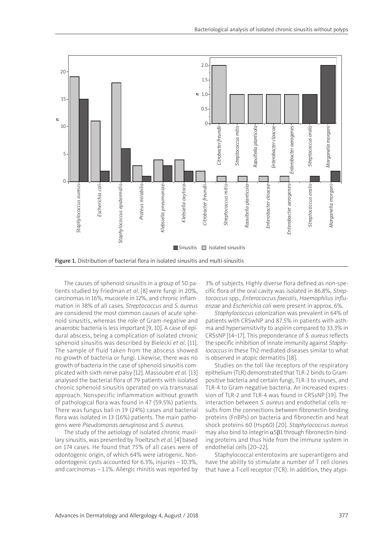

The causes of sphenoid sinusitis in a group of 50 patients studied by Friedman *et al.* [8] were fungi in 20%, carcinomas in 16%, mucocele in 12%, and chronic inflammation in 38% of all cases. *Streptococcus* and *S. aureus* are considered the most common causes of acute sphenoid sinusitis, whereas the role of Gram-negative and anaerobic bacteria is less important [9, 10]. A case of epidural abscess, being a complication of isolated chronic sphenoid sinusitis was described by Bielecki *et al*. [11]. The sample of fluid taken from the abscess showed no growth of bacteria or fungi. Likewise, there was no growth of bacteria in the case of sphenoid sinusitis complicated with sixth nerve palsy [12]. Massoubre *et al.* [13] analysed the bacterial flora of 79 patients with isolated chronic sphenoid sinusitis operated on via transnasal approach. Nonspecific inflammation without growth of pathological flora was found in 47 (59.5%) patients. There was fungus ball in 19 (24%) cases and bacterial flora was isolated in 13 (16%) patients. The main pathogens were *Pseudomonas aeruginosa* and *S. aureus.*

The study of the aetiology of isolated chronic maxillary sinusitis, was presented by Troeltzsch *et al.* [4] based on 174 cases. He found that 75% of all cases were of odontogenic origin, of which 64% were iatrogenic. Nonodontogenic cysts accounted for 6.3%, injuries – 10.3%, and carcinomas – 1.1%. Allergic rhinitis was reported by 3% of subjects. Highly diverse flora defined as non-specific flora of the oral cavity was isolated in 86.8%, *Streptococcus* spp., *Enterococcus faecalis*, *Haemophilus influenzae* and *Escherichia coli* were present in approx. 6%.

*Staphylococcus* colonization was prevalent in 64% of patients with CRSwNP and 87.5% in patients with asthma and hypersensitivity to aspirin compared to 33.3% in CRSsNP [14–17]. This preponderance of *S. aureus* reflects the specific inhibition of innate immunity against *Staphylococcus* in these Th2-mediated diseases similar to what is observed in atopic dermatitis [18].

Studies on the toll like receptors of the respiratory epithelium (TLR) demonstrated that TLR-2 binds to Grampositive bacteria and certain fungi, TLR-3 to viruses, and TLR-4 to Gram-negative bacteria. An increased expression of TLR-2 and TLR-4 was found in CRSsNP [19]. The interaction between *S. aureus* and endothelial cells results from the connections between fibronectin-binding proteins (FnBPs) on bacteria and fibronectin and heat shock proteins 60 (Hsp60) [20]. *Staphylococcus aureus* may also bind to integrin  $\alpha$ 5β1 through fibronectin-binding proteins and thus hide from the immune system in endothelial cells [20–22].

Staphylococcal enterotoxins are superantigens and have the ability to stimulate a number of T cell clones that have a T-cell receptor (TCR). In addition, they atypi-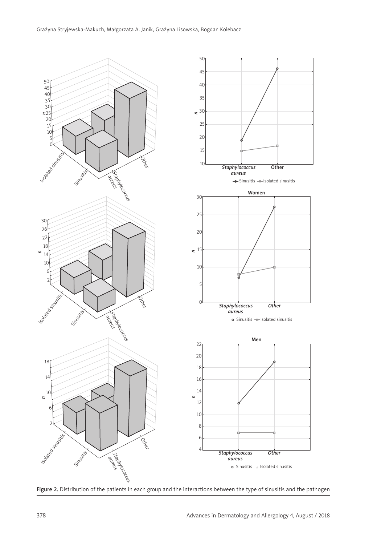

Figure 2. Distribution of the patients in each group and the interactions between the type of sinusitis and the pathogen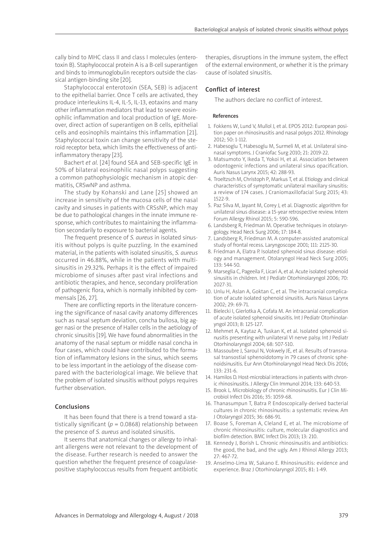cally bind to MHC class II and class I molecules (enterotoxin B). Staphylococcal protein A is a B-cell superantigen and binds to immunoglobulin receptors outside the classical antigen-binding site [20].

Staphylococcal enterotoxin (SEA, SEB) is adjacent to the epithelial barrier. Once T cells are activated, they produce interleukins IL-4, IL-5, IL-13, eotaxins and many other inflammation mediators that lead to severe eosinophilic inflammation and local production of IgE. Moreover, direct action of superantigen on B cells, epithelial cells and eosinophils maintains this inflammation [21]. Staphylococcal toxin can change sensitivity of the steroid receptor beta, which limits the effectiveness of antiinflammatory therapy [23].

Bachert *et al.* [24] found SEA and SEB-specific IgE in 50% of bilateral eosinophilic nasal polyps suggesting a common pathophysiologic mechanism in atopic dermatitis, CRSwNP and asthma.

The study by Kohanski and Lane [25] showed an increase in sensitivity of the mucosa cells of the nasal cavity and sinuses in patients with CRSsNP, which may be due to pathological changes in the innate immune response, which contributes to maintaining the inflammation secondarily to exposure to bacterial agents.

The frequent presence of *S. aureus* in isolated sinusitis without polyps is quite puzzling. In the examined material, in the patients with isolated sinusitis, *S. aureus* occurred in 46.88%, while in the patients with multisinusitis in 29.32%. Perhaps it is the effect of impaired microbiome of sinuses after past viral infections and antibiotic therapies, and hence, secondary proliferation of pathogenic flora, which is normally inhibited by commensals [26, 27].

There are conflicting reports in the literature concerning the significance of nasal cavity anatomy differences such as nasal septum deviation, concha bullosa, big agger nasi or the presence of Haller cells in the aetiology of chronic sinusitis [19]. We have found abnormalities in the anatomy of the nasal septum or middle nasal concha in four cases, which could have contributed to the formation of inflammatory lesions in the sinus, which seems to be less important in the aetiology of the disease compared with the bacteriological image. We believe that the problem of isolated sinusitis without polyps requires further observation.

# Conclusions

It has been found that there is a trend toward a statistically significant ( $p = 0.0868$ ) relationship between the presence of *S. aureus* and isolated sinusitis.

It seems that anatomical changes or allergy to inhalant allergens were not relevant to the development of the disease. Further research is needed to answer the question whether the frequent presence of coagulasepositive staphylococcus results from frequent antibiotic therapies, disruptions in the immune system, the effect of the external environment, or whether it is the primary cause of isolated sinusitis.

# Conflict of interest

The authors declare no conflict of interest.

#### References

- 1. Fokkens W, Lund V, Mullol J, et al. EPOS 2012: European position paper on rhinosinusitis and nasal polyps 2012. Rhinology 2012; 50: 1-112.
- 2. Habesoglu T, Habesoglu M, Surmeli M, et al. Unilateral sinonasal symptoms. J Craniofac Surg 2010; 21: 2019-22.
- 3. Matsumoto Y, Ikeda T, Yokoi H, et al. Association between odontogenic infections and unilateral sinus opacification. Auris Nasus Larynx 2015; 42: 288-93.
- 4. Troeltzsch M, Christoph P, Markus T, et al. Etiology and clinical characteristics of symptomatic unilateral maxillary sinusitis: a review of 174 cases. J Craniomaxillofacial Surg 2015; 43: 1522-9.
- 5. Paz Silva M, Jayant M, Corey J, et al. Diagnostic algorithm for unilateral sinus disease: a 15-year retrospective review. Intern Forum Allergy Rhinol 2015; 5: 590-596.
- 6. Landsberg R, Friedman M. Operative techniques in otolaryngology. Head Neck Surg 2006; 17: 184-8.
- 7. Landsberg R, Friedman M. A computer-assisted anatomical study of frontal recess. Laryngoscope 2001; 111: 2125-30.
- 8. Friedman A, Elatra P. Isolated sphenoid sinus disease: etiology and management. Otolaryngol Head Neck Surg 2005; 133: 544-50.
- 9. Marseglia C, Pageeila F, Licari A, et al. Acute isolated sphenoid sinusitis in children. Int J Pediatr Otorhinolaryngol 2006; 70: 2027-31.
- 10. Unlu H, Aslan A, Goktan C, et al. The intracranial complication of acute isolated sphenoid sinusitis. Auris Nasus Larynx 2002; 29: 69-71.
- 11. Bielecki I, Gierlotka A, Cofała M. An intracranial complication of acute isolated sphenoid sinusitis. Int J Pediatr Otorhinolaryngol 2013; 8: 125-127.
- 12. Mehmet A, Kaytaz A, Tuskan K, et al. Isolated sphenoid sinusitis presenting with unilateral VI nerve palsy. Int J Pediatr Otorhinolaryngol 2004; 68: 507-510.
- 13. Massoubre J, Saroul N, Vokwely JE, et al. Results of transnasal transostial sphenoidotomy in 79 cases of chronic sphenoidsinusitis. Eur Ann Otorhinolaryngol Head Neck Dis 2016; 133: 231-6.
- 14. Hamilos D. Host-microbial interactions in patients with chronic rhinosinusitis. J Allergy Clin Immunol 2014; 133: 640-53.
- 15. Brook L. Microbiology of chronic rhinosinusitis. Eur J Clin Microbiol Infect Dis 2016; 35: 1059-68.
- 16. Thanasumpun T, Batra P. Endoscopically-derived bacterial cultures in chronic rhinosinusitis: a systematic review. Am J Otolaryngol 2015; 36: 686-91.
- 17. Boase S, Foreman A, Cleland E, et al. The microbiome of chronic rhinosinusitis: culture, molecular diagnostics and biofilm detection. BMC Infect Dis 2013; 13: 210.
- 18. Kennedy J, Borish L. Chronic rhinosinusitis and antibiotics: the good, the bad, and the ugly. Am J Rhinol Allergy 2013; 27: 467-72.
- 19. Anselmo-Lima W, Sakano E. Rhinosinusitis: evidence and experience. Braz J Otorhinolaryngol 2015; 81: 1-49.